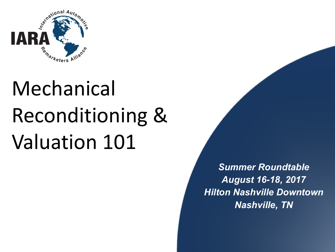

# Mechanical Reconditioning & Valuation 101

*Summer Roundtable August 16-18, 2017 Hilton Nashville Downtown Nashville, TN*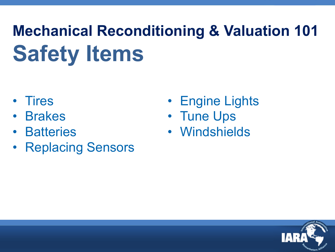### **Mechanical Reconditioning & Valuation 101 Safety Items**

- Tires
- Brakes
- Batteries
- Replacing Sensors
- Engine Lights
- Tune Ups
- Windshields

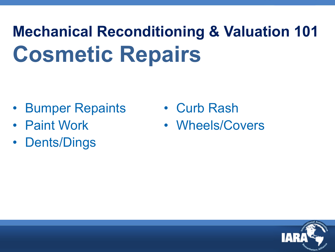### **Mechanical Reconditioning & Valuation 101 Cosmetic Repairs**

- Bumper Repaints
- Paint Work
- Dents/Dings
- Curb Rash
- Wheels/Covers

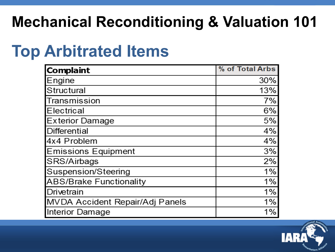#### **Mechanical Reconditioning & Valuation 101**

#### **Top Arbitrated Items**

| <b>Complaint</b>                | % of Total Arbs |
|---------------------------------|-----------------|
| Engine                          | 30%             |
| Structural                      | 13%             |
| Transmission                    | 7%              |
| <b>Electrical</b>               | 6%              |
| <b>Exterior Damage</b>          | 5%              |
| Differential                    | 4%              |
| 4x4 Problem                     | 4%              |
| <b>Emissions Equipment</b>      | 3%              |
| SRS/Airbags                     | 2%              |
| Suspension/Steering             | 1%              |
| <b>ABS/Brake Functionality</b>  | 1%              |
| Drivetrain                      | 1%              |
| MVDA Accident Repair/Adj Panels | 1%              |
| Interior Damage                 | 1%              |

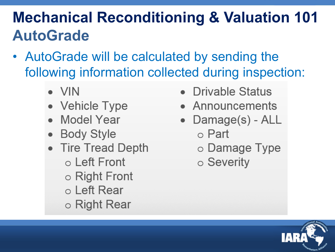### **Mechanical Reconditioning & Valuation 101 AutoGrade**

- AutoGrade will be calculated by sending the following information collected during inspection:
	- $\bullet$  VIN
	- Vehicle Type
	- Model Year
	- Body Style
	- Tire Tread Depth o Left Front  $\circ$  Right Front ○ Left Rear ○ Right Rear
- Drivable Status
- Announcements
- Damage(s) ALL ○ Part
	- Damage Type
	- Severity

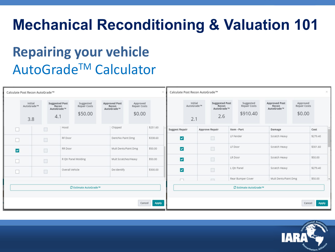#### **Mechanical Reconditioning & Valuation 101**

#### **Repairing your vehicle** AutoGradeTM Calculator

| Calculate Post Recon AutoGrade™ |                              |                                                     |                     |                                             |  |                                                                                          |  |          | $\times$<br>Calculate Post Recon AutoGrade™ |                              |                |                                                     |                                              |                   |                                                                                          |  |                 |  |
|---------------------------------|------------------------------|-----------------------------------------------------|---------------------|---------------------------------------------|--|------------------------------------------------------------------------------------------|--|----------|---------------------------------------------|------------------------------|----------------|-----------------------------------------------------|----------------------------------------------|-------------------|------------------------------------------------------------------------------------------|--|-----------------|--|
|                                 | Initial<br>AutoGrade™<br>3.8 | <b>Suggested Post</b><br>Recon<br>AutoGrade™<br>4.1 |                     | Suggested<br><b>Repair Costs</b><br>\$50.00 |  | <b>Approved Post</b><br>Approved<br><b>Repair Costs</b><br>Recon<br>AutoGrade™<br>\$0.00 |  |          |                                             | Initial<br>AutoGrade™<br>2.1 |                | <b>Suggested Post</b><br>Recon<br>AutoGrade™<br>2.6 | Suggested<br><b>Repair Costs</b><br>\$910.40 |                   | <b>Approved Post</b><br>Approved<br>Recon<br><b>Repair Costs</b><br>AutoGrade™<br>\$0.00 |  |                 |  |
|                                 |                              |                                                     | Hood                |                                             |  | Chipped                                                                                  |  | \$251.60 | <b>Suggest Repair</b>                       |                              | Approve Repair |                                                     | Item - Part                                  |                   | Damage                                                                                   |  | Cost            |  |
|                                 |                              | $\Box$                                              | RF Door             |                                             |  | Dent/No Paint Dmg                                                                        |  | \$338.60 | $\overline{\mathbf{v}}$                     |                              |                | $\Box$                                              | LF Fender                                    |                   | Scratch Heavy                                                                            |  | \$279.40        |  |
| $\overline{\mathbf{v}}$         |                              | $\Box$                                              | RR Door             |                                             |  | Mult Dents/Paint Dmg                                                                     |  | \$50.00  | $\overline{\mathbf{v}}$                     |                              |                | $\Box$                                              | LF Door                                      |                   | Scratch Heavy                                                                            |  | \$301.60        |  |
|                                 |                              | $\Box$                                              | R Qtr Panel Molding |                                             |  | Mult Scratches/Heavy                                                                     |  | \$50.00  | $\blacktriangledown$                        |                              |                | $\Box$                                              | LR Door                                      |                   | Scratch Heavy                                                                            |  | \$50.00         |  |
|                                 |                              |                                                     | Overall Vehicle     |                                             |  | De-Identify                                                                              |  | \$300.00 | $\overline{\mathbf{v}}$                     |                              |                | $\Box$                                              | L Qtr Panel                                  |                   | Scratch Heavy                                                                            |  | \$279.40        |  |
|                                 |                              |                                                     |                     |                                             |  |                                                                                          |  |          | $\Box$                                      |                              |                | $\Box$                                              |                                              | Rear Bumper Cover | Mult Dents/Paint Dmg                                                                     |  | \$50.00         |  |
| <b>○ Estimate AutoGrade™</b>    |                              |                                                     |                     |                                             |  |                                                                                          |  |          | C Estimate AutoGrade™                       |                              |                |                                                     |                                              |                   |                                                                                          |  |                 |  |
|                                 | <b>Apply</b><br>Cancel       |                                                     |                     |                                             |  |                                                                                          |  |          |                                             |                              |                |                                                     |                                              |                   |                                                                                          |  | Apply<br>Cancel |  |

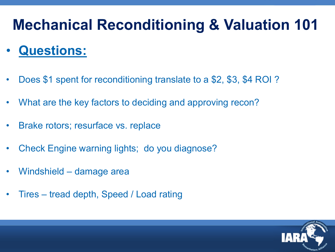#### **Mechanical Reconditioning & Valuation 101**

#### • **Questions:**

- Does \$1 spent for reconditioning translate to a \$2, \$3, \$4 ROI ?
- What are the key factors to deciding and approving recon?
- Brake rotors; resurface vs. replace
- Check Engine warning lights; do you diagnose?
- Windshield damage area
- Tires tread depth, Speed / Load rating

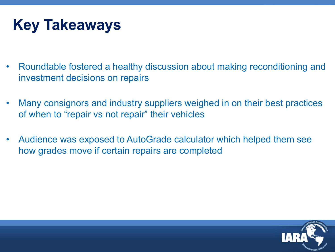#### **Key Takeaways**

- Roundtable fostered a healthy discussion about making reconditioning and investment decisions on repairs
- Many consignors and industry suppliers weighed in on their best practices of when to "repair vs not repair" their vehicles
- Audience was exposed to AutoGrade calculator which helped them see how grades move if certain repairs are completed

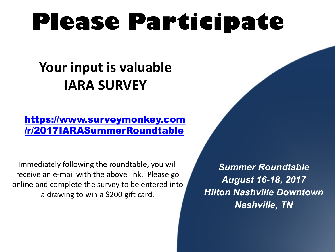## **Please Participate**

#### **Your input is valuable IARA SURVEY**

#### https://www.surveymonkey.com /r/2017IARASummerRoundtable

Immediately following the roundtable, you will receive an e-mail with the above link. Please go online and complete the survey to be entered into a drawing to win a \$200 gift card.

*Summer Roundtable August 16-18, 2017 Hilton Nashville Downtown Nashville, TN*